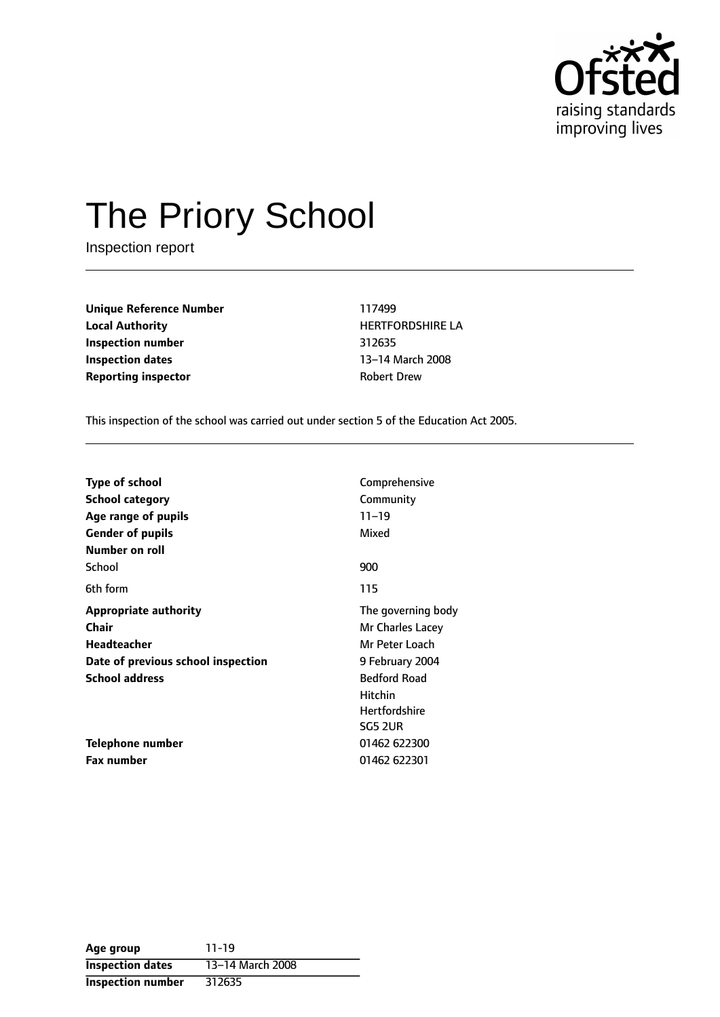

# The Priory School

Inspection report

**Unique Reference Number** 117499 **Local Authority HERTFORDSHIRE LA Inspection number** 312635 **Inspection dates** 13-14 March 2008 **Reporting inspector CONFIDER ROBERT DREW** 

This inspection of the school was carried out under section 5 of the Education Act 2005.

| <b>Type of school</b>              | Comprehensive        |  |
|------------------------------------|----------------------|--|
| <b>School category</b>             | Community            |  |
| Age range of pupils                | $11 - 19$            |  |
| <b>Gender of pupils</b>            | Mixed                |  |
| <b>Number on roll</b>              |                      |  |
| School                             | 900                  |  |
| 6th form                           | 115                  |  |
| <b>Appropriate authority</b>       | The governing body   |  |
| Chair                              | Mr Charles Lacey     |  |
| <b>Headteacher</b>                 | Mr Peter Loach       |  |
| Date of previous school inspection | 9 February 2004      |  |
| <b>School address</b>              | <b>Bedford Road</b>  |  |
|                                    | <b>Hitchin</b>       |  |
|                                    | <b>Hertfordshire</b> |  |
|                                    | <b>SG5 2UR</b>       |  |
| Telephone number                   | 01462 622300         |  |
| <b>Fax number</b>                  | 01462 622301         |  |

| Age group                | $11 - 19$        |
|--------------------------|------------------|
| <b>Inspection dates</b>  | 13-14 March 2008 |
| <b>Inspection number</b> | 312635           |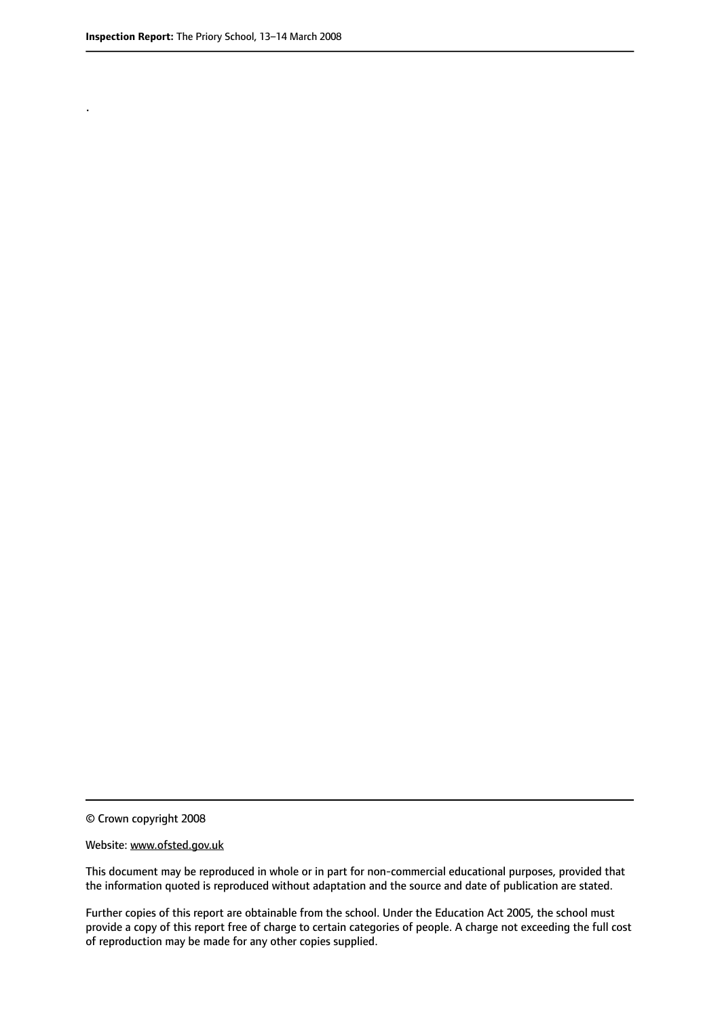.

© Crown copyright 2008

#### Website: www.ofsted.gov.uk

This document may be reproduced in whole or in part for non-commercial educational purposes, provided that the information quoted is reproduced without adaptation and the source and date of publication are stated.

Further copies of this report are obtainable from the school. Under the Education Act 2005, the school must provide a copy of this report free of charge to certain categories of people. A charge not exceeding the full cost of reproduction may be made for any other copies supplied.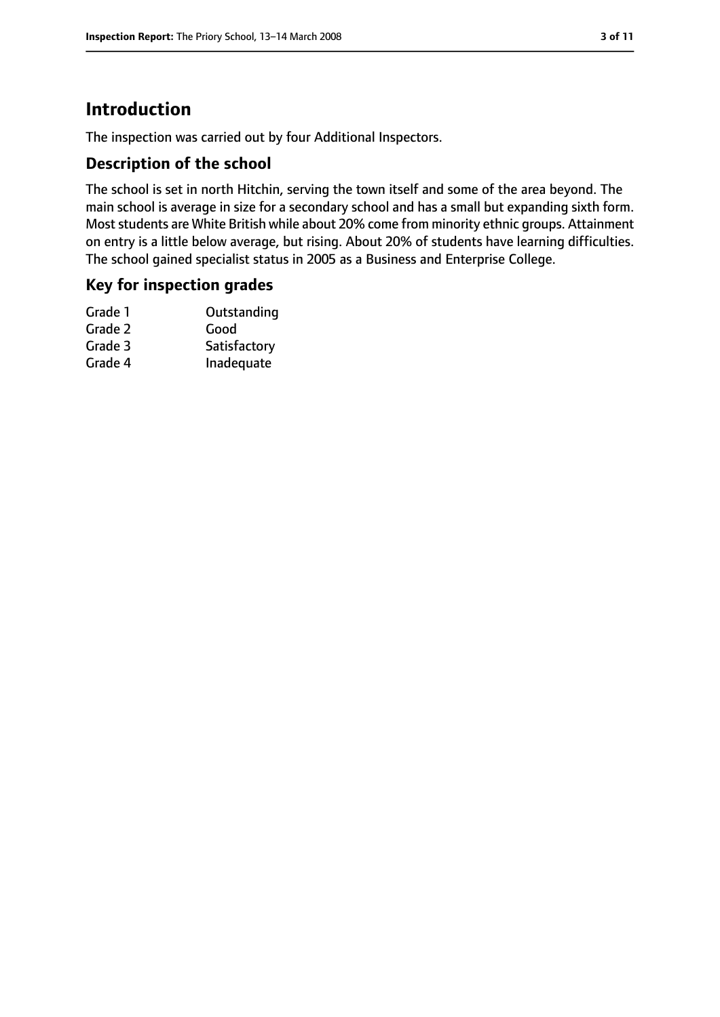# **Introduction**

The inspection was carried out by four Additional Inspectors.

## **Description of the school**

The school is set in north Hitchin, serving the town itself and some of the area beyond. The main school is average in size for a secondary school and has a small but expanding sixth form. Most students are White British while about 20% come from minority ethnic groups. Attainment on entry is a little below average, but rising. About 20% of students have learning difficulties. The school gained specialist status in 2005 as a Business and Enterprise College.

## **Key for inspection grades**

| Grade 1 | Outstanding  |
|---------|--------------|
| Grade 2 | Good         |
| Grade 3 | Satisfactory |
| Grade 4 | Inadequate   |
|         |              |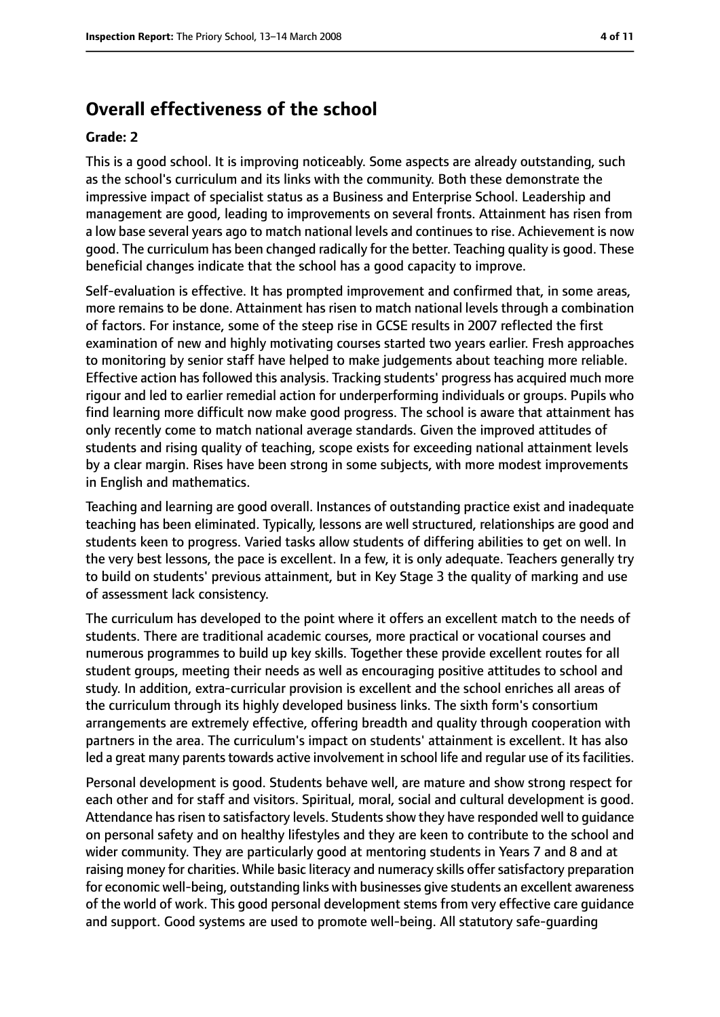# **Overall effectiveness of the school**

#### **Grade: 2**

This is a good school. It is improving noticeably. Some aspects are already outstanding, such as the school's curriculum and its links with the community. Both these demonstrate the impressive impact of specialist status as a Business and Enterprise School. Leadership and management are good, leading to improvements on several fronts. Attainment has risen from a low base several years ago to match national levels and continues to rise. Achievement is now good. The curriculum has been changed radically for the better. Teaching quality is good. These beneficial changes indicate that the school has a good capacity to improve.

Self-evaluation is effective. It has prompted improvement and confirmed that, in some areas, more remains to be done. Attainment has risen to match national levels through a combination of factors. For instance, some of the steep rise in GCSE results in 2007 reflected the first examination of new and highly motivating courses started two years earlier. Fresh approaches to monitoring by senior staff have helped to make judgements about teaching more reliable. Effective action has followed this analysis. Tracking students' progress has acquired much more rigour and led to earlier remedial action for underperforming individuals or groups. Pupils who find learning more difficult now make good progress. The school is aware that attainment has only recently come to match national average standards. Given the improved attitudes of students and rising quality of teaching, scope exists for exceeding national attainment levels by a clear margin. Rises have been strong in some subjects, with more modest improvements in English and mathematics.

Teaching and learning are good overall. Instances of outstanding practice exist and inadequate teaching has been eliminated. Typically, lessons are well structured, relationships are good and students keen to progress. Varied tasks allow students of differing abilities to get on well. In the very best lessons, the pace is excellent. In a few, it is only adequate. Teachers generally try to build on students' previous attainment, but in Key Stage 3 the quality of marking and use of assessment lack consistency.

The curriculum has developed to the point where it offers an excellent match to the needs of students. There are traditional academic courses, more practical or vocational courses and numerous programmes to build up key skills. Together these provide excellent routes for all student groups, meeting their needs as well as encouraging positive attitudes to school and study. In addition, extra-curricular provision is excellent and the school enriches all areas of the curriculum through its highly developed business links. The sixth form's consortium arrangements are extremely effective, offering breadth and quality through cooperation with partners in the area. The curriculum's impact on students' attainment is excellent. It has also led a great many parents towards active involvement in school life and regular use of its facilities.

Personal development is good. Students behave well, are mature and show strong respect for each other and for staff and visitors. Spiritual, moral, social and cultural development is good. Attendance has risen to satisfactory levels. Students show they have responded well to quidance on personal safety and on healthy lifestyles and they are keen to contribute to the school and wider community. They are particularly good at mentoring students in Years 7 and 8 and at raising money for charities. While basic literacy and numeracy skills offer satisfactory preparation for economic well-being, outstanding links with businesses give students an excellent awareness of the world of work. This good personal development stems from very effective care guidance and support. Good systems are used to promote well-being. All statutory safe-guarding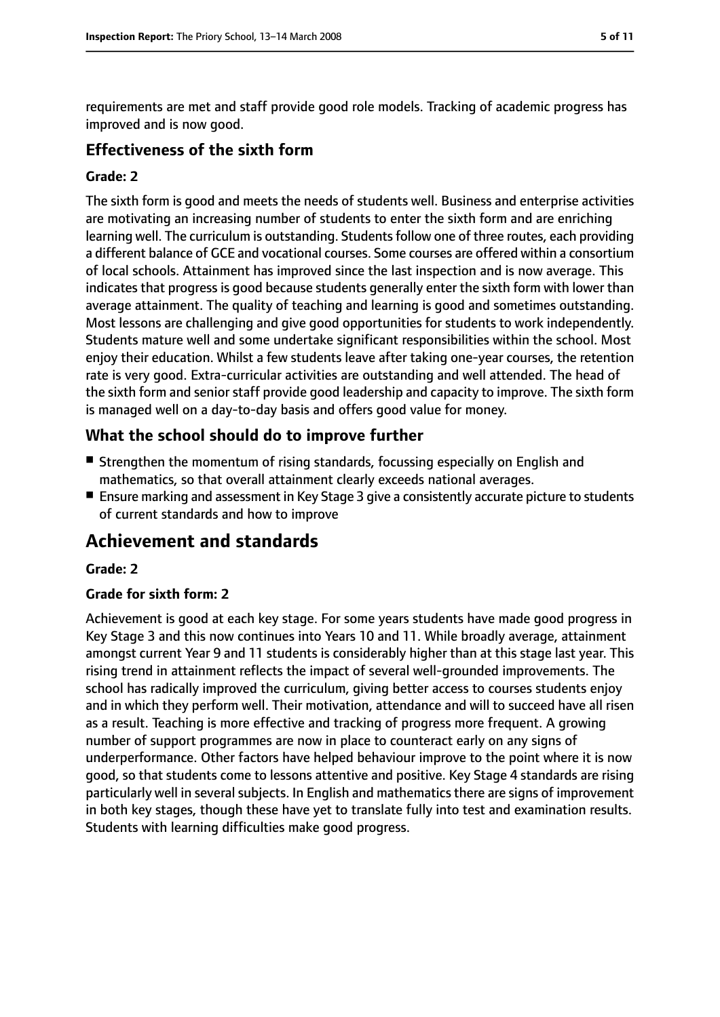requirements are met and staff provide good role models. Tracking of academic progress has improved and is now good.

## **Effectiveness of the sixth form**

## **Grade: 2**

The sixth form is good and meets the needs of students well. Business and enterprise activities are motivating an increasing number of students to enter the sixth form and are enriching learning well. The curriculum is outstanding. Students follow one of three routes, each providing a different balance of GCE and vocational courses. Some courses are offered within a consortium of local schools. Attainment has improved since the last inspection and is now average. This indicates that progress is good because students generally enter the sixth form with lower than average attainment. The quality of teaching and learning is good and sometimes outstanding. Most lessons are challenging and give good opportunities for students to work independently. Students mature well and some undertake significant responsibilities within the school. Most enjoy their education. Whilst a few students leave after taking one-year courses, the retention rate is very good. Extra-curricular activities are outstanding and well attended. The head of the sixth form and senior staff provide good leadership and capacity to improve. The sixth form is managed well on a day-to-day basis and offers good value for money.

# **What the school should do to improve further**

- Strengthen the momentum of rising standards, focussing especially on English and mathematics, so that overall attainment clearly exceeds national averages.
- Ensure marking and assessment in Key Stage 3 give a consistently accurate picture to students of current standards and how to improve

# **Achievement and standards**

## **Grade: 2**

## **Grade for sixth form: 2**

Achievement is good at each key stage. For some years students have made good progress in Key Stage 3 and this now continues into Years 10 and 11. While broadly average, attainment amongst current Year 9 and 11 students is considerably higher than at this stage last year. This rising trend in attainment reflects the impact of several well-grounded improvements. The school has radically improved the curriculum, giving better access to courses students enjoy and in which they perform well. Their motivation, attendance and will to succeed have all risen as a result. Teaching is more effective and tracking of progress more frequent. A growing number of support programmes are now in place to counteract early on any signs of underperformance. Other factors have helped behaviour improve to the point where it is now good, so that students come to lessons attentive and positive. Key Stage 4 standards are rising particularly well in several subjects. In English and mathematics there are signs of improvement in both key stages, though these have yet to translate fully into test and examination results. Students with learning difficulties make good progress.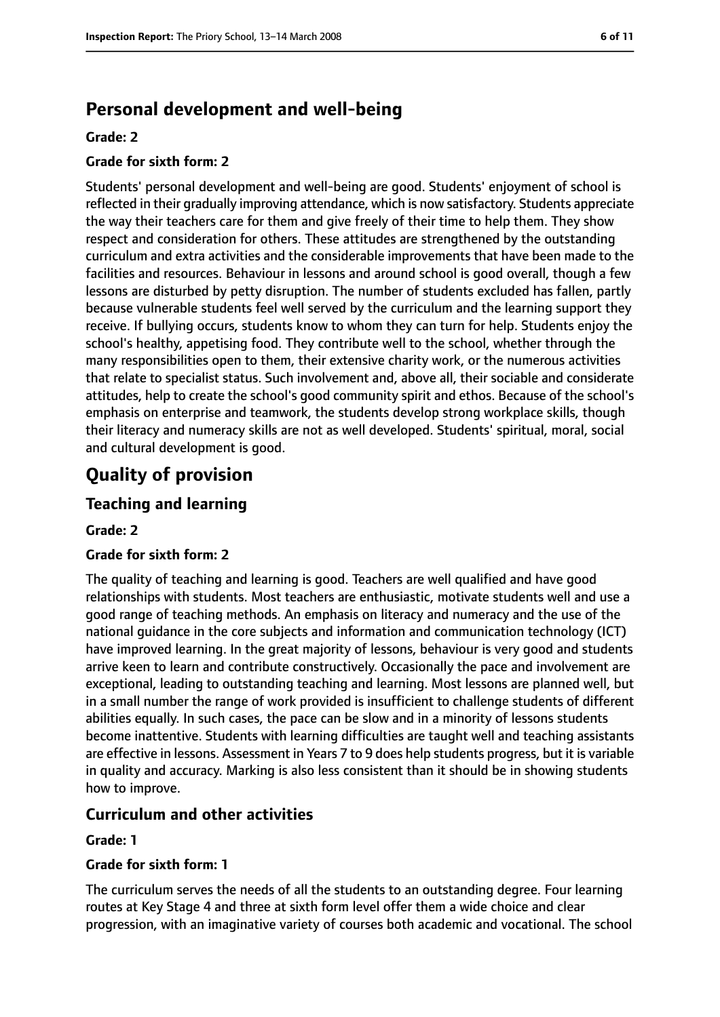# **Personal development and well-being**

#### **Grade: 2**

### **Grade for sixth form: 2**

Students' personal development and well-being are good. Students' enjoyment of school is reflected in their gradually improving attendance, which is now satisfactory. Students appreciate the way their teachers care for them and give freely of their time to help them. They show respect and consideration for others. These attitudes are strengthened by the outstanding curriculum and extra activities and the considerable improvements that have been made to the facilities and resources. Behaviour in lessons and around school is good overall, though a few lessons are disturbed by petty disruption. The number of students excluded has fallen, partly because vulnerable students feel well served by the curriculum and the learning support they receive. If bullying occurs, students know to whom they can turn for help. Students enjoy the school's healthy, appetising food. They contribute well to the school, whether through the many responsibilities open to them, their extensive charity work, or the numerous activities that relate to specialist status. Such involvement and, above all, their sociable and considerate attitudes, help to create the school's good community spirit and ethos. Because of the school's emphasis on enterprise and teamwork, the students develop strong workplace skills, though their literacy and numeracy skills are not as well developed. Students' spiritual, moral, social and cultural development is good.

# **Quality of provision**

## **Teaching and learning**

#### **Grade: 2**

#### **Grade for sixth form: 2**

The quality of teaching and learning is good. Teachers are well qualified and have good relationships with students. Most teachers are enthusiastic, motivate students well and use a good range of teaching methods. An emphasis on literacy and numeracy and the use of the national guidance in the core subjects and information and communication technology (ICT) have improved learning. In the great majority of lessons, behaviour is very good and students arrive keen to learn and contribute constructively. Occasionally the pace and involvement are exceptional, leading to outstanding teaching and learning. Most lessons are planned well, but in a small number the range of work provided is insufficient to challenge students of different abilities equally. In such cases, the pace can be slow and in a minority of lessons students become inattentive. Students with learning difficulties are taught well and teaching assistants are effective in lessons. Assessment in Years 7 to 9 does help students progress, but it is variable in quality and accuracy. Marking is also less consistent than it should be in showing students how to improve.

## **Curriculum and other activities**

#### **Grade: 1**

#### **Grade for sixth form: 1**

The curriculum serves the needs of all the students to an outstanding degree. Four learning routes at Key Stage 4 and three at sixth form level offer them a wide choice and clear progression, with an imaginative variety of courses both academic and vocational. The school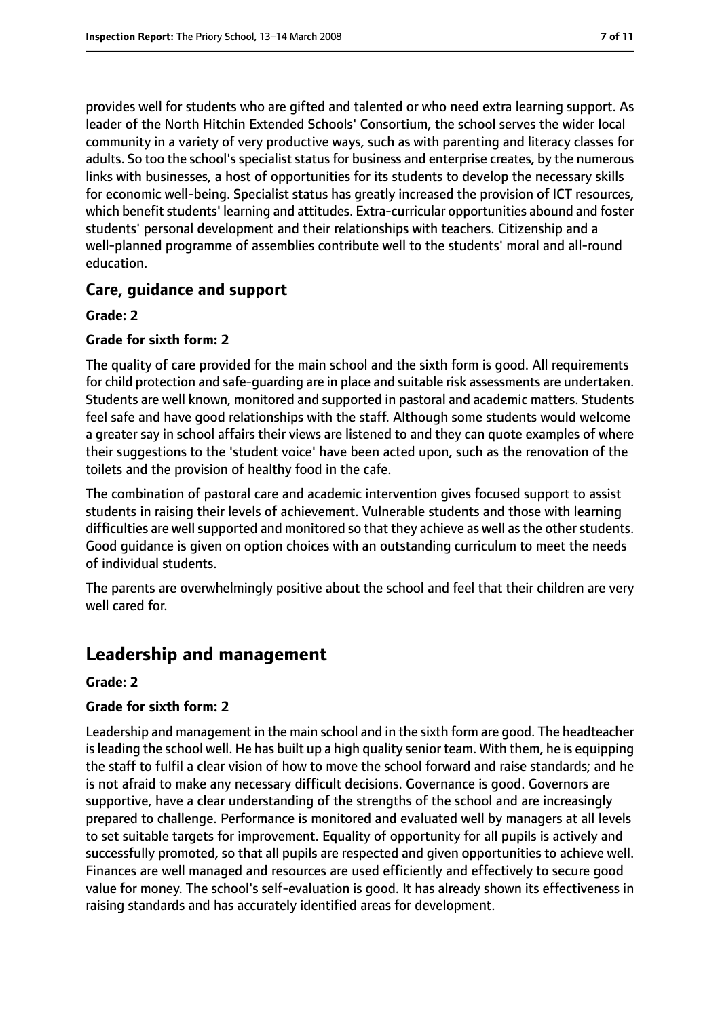provides well for students who are gifted and talented or who need extra learning support. As leader of the North Hitchin Extended Schools' Consortium, the school serves the wider local community in a variety of very productive ways, such as with parenting and literacy classes for adults. So too the school's specialist status for business and enterprise creates, by the numerous links with businesses, a host of opportunities for its students to develop the necessary skills for economic well-being. Specialist status has greatly increased the provision of ICT resources, which benefit students' learning and attitudes. Extra-curricular opportunities abound and foster students' personal development and their relationships with teachers. Citizenship and a well-planned programme of assemblies contribute well to the students' moral and all-round education.

## **Care, guidance and support**

#### **Grade: 2**

#### **Grade for sixth form: 2**

The quality of care provided for the main school and the sixth form is good. All requirements for child protection and safe-guarding are in place and suitable risk assessments are undertaken. Students are well known, monitored and supported in pastoral and academic matters. Students feel safe and have good relationships with the staff. Although some students would welcome a greater say in school affairs their views are listened to and they can quote examples of where their suggestions to the 'student voice' have been acted upon, such as the renovation of the toilets and the provision of healthy food in the cafe.

The combination of pastoral care and academic intervention gives focused support to assist students in raising their levels of achievement. Vulnerable students and those with learning difficulties are well supported and monitored so that they achieve as well as the other students. Good guidance is given on option choices with an outstanding curriculum to meet the needs of individual students.

The parents are overwhelmingly positive about the school and feel that their children are very well cared for.

# **Leadership and management**

#### **Grade: 2**

## **Grade for sixth form: 2**

Leadership and management in the main school and in the sixth form are good. The headteacher isleading the school well. He has built up a high quality senior team. With them, he is equipping the staff to fulfil a clear vision of how to move the school forward and raise standards; and he is not afraid to make any necessary difficult decisions. Governance is good. Governors are supportive, have a clear understanding of the strengths of the school and are increasingly prepared to challenge. Performance is monitored and evaluated well by managers at all levels to set suitable targets for improvement. Equality of opportunity for all pupils is actively and successfully promoted, so that all pupils are respected and given opportunities to achieve well. Finances are well managed and resources are used efficiently and effectively to secure good value for money. The school's self-evaluation is good. It has already shown its effectiveness in raising standards and has accurately identified areas for development.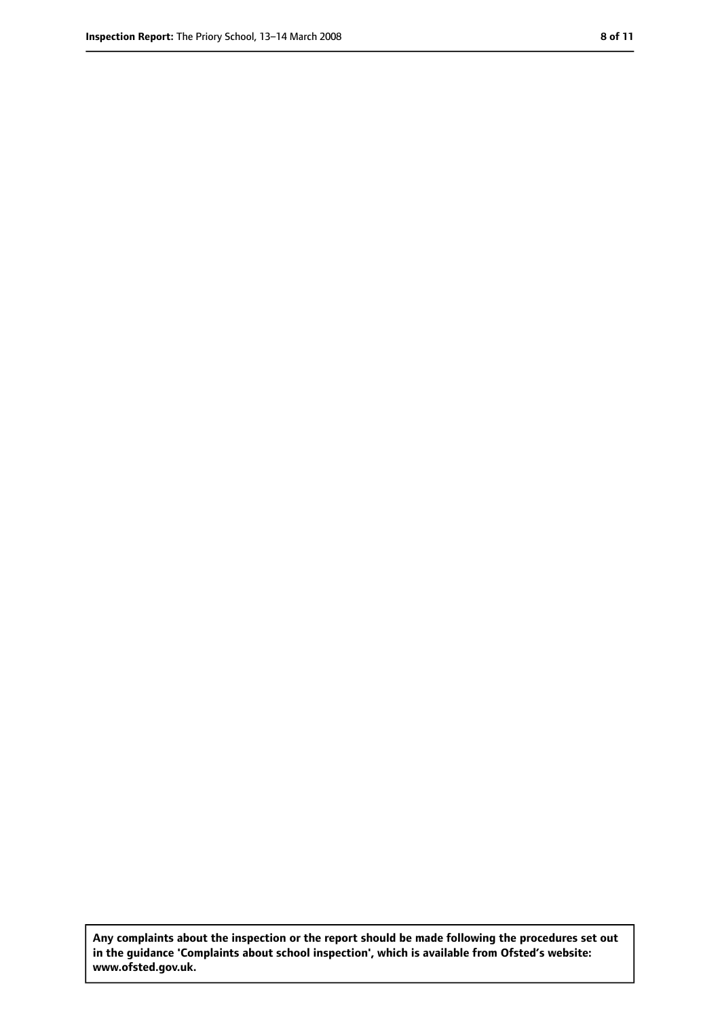**Any complaints about the inspection or the report should be made following the procedures set out in the guidance 'Complaints about school inspection', which is available from Ofsted's website: www.ofsted.gov.uk.**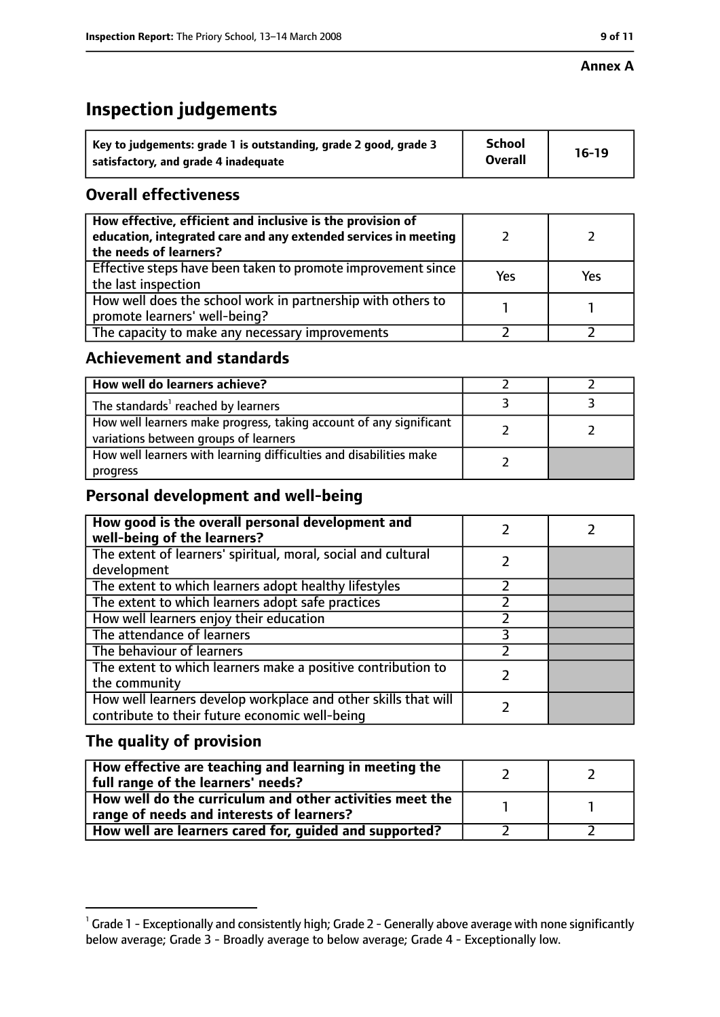#### **Annex A**

# **Inspection judgements**

| Key to judgements: grade 1 is outstanding, grade 2 good, grade 3 | <b>School</b>  | $16-19$ |
|------------------------------------------------------------------|----------------|---------|
| satisfactory, and grade 4 inadequate                             | <b>Overall</b> |         |

# **Overall effectiveness**

| How effective, efficient and inclusive is the provision of<br>education, integrated care and any extended services in meeting<br>the needs of learners? |     |     |
|---------------------------------------------------------------------------------------------------------------------------------------------------------|-----|-----|
| Effective steps have been taken to promote improvement since<br>the last inspection                                                                     | Yes | Yes |
| How well does the school work in partnership with others to<br>promote learners' well-being?                                                            |     |     |
| The capacity to make any necessary improvements                                                                                                         |     |     |

# **Achievement and standards**

| How well do learners achieve?                                                                               |  |
|-------------------------------------------------------------------------------------------------------------|--|
| The standards <sup>1</sup> reached by learners                                                              |  |
| How well learners make progress, taking account of any significant<br>variations between groups of learners |  |
| How well learners with learning difficulties and disabilities make<br>progress                              |  |

# **Personal development and well-being**

| How good is the overall personal development and<br>well-being of the learners?                                  |  |
|------------------------------------------------------------------------------------------------------------------|--|
| The extent of learners' spiritual, moral, social and cultural                                                    |  |
| development                                                                                                      |  |
| The extent to which learners adopt healthy lifestyles                                                            |  |
| The extent to which learners adopt safe practices                                                                |  |
| How well learners enjoy their education                                                                          |  |
| The attendance of learners                                                                                       |  |
| The behaviour of learners                                                                                        |  |
| The extent to which learners make a positive contribution to<br>the community                                    |  |
| How well learners develop workplace and other skills that will<br>contribute to their future economic well-being |  |

# **The quality of provision**

| How effective are teaching and learning in meeting the<br>full range of the learners' needs?          |  |
|-------------------------------------------------------------------------------------------------------|--|
| How well do the curriculum and other activities meet the<br>range of needs and interests of learners? |  |
| How well are learners cared for, guided and supported?                                                |  |

 $^1$  Grade 1 - Exceptionally and consistently high; Grade 2 - Generally above average with none significantly below average; Grade 3 - Broadly average to below average; Grade 4 - Exceptionally low.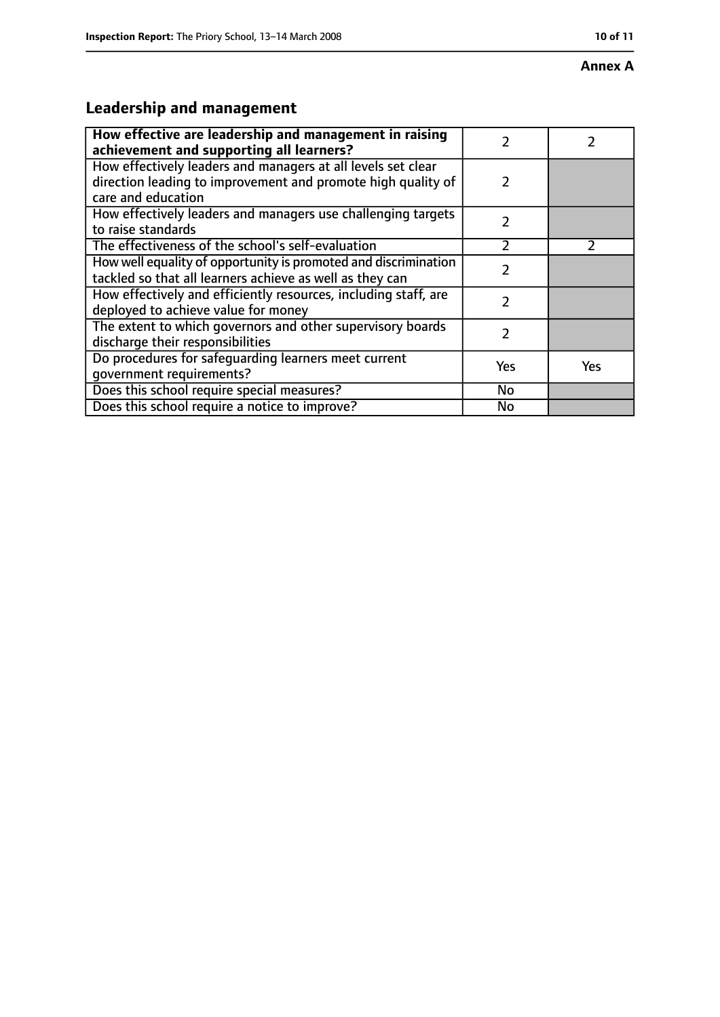#### **Annex A**

# **Leadership and management**

| How effective are leadership and management in raising<br>achievement and supporting all learners?                                                 | 7             |               |
|----------------------------------------------------------------------------------------------------------------------------------------------------|---------------|---------------|
| How effectively leaders and managers at all levels set clear<br>direction leading to improvement and promote high quality of<br>care and education | $\mathcal{P}$ |               |
| How effectively leaders and managers use challenging targets<br>to raise standards                                                                 | $\mathcal{P}$ |               |
| The effectiveness of the school's self-evaluation                                                                                                  | $\mathcal{P}$ | $\mathcal{P}$ |
| How well equality of opportunity is promoted and discrimination<br>tackled so that all learners achieve as well as they can                        | 7             |               |
| How effectively and efficiently resources, including staff, are<br>deployed to achieve value for money                                             | 2             |               |
| The extent to which governors and other supervisory boards<br>discharge their responsibilities                                                     | 7             |               |
| Do procedures for safequarding learners meet current<br>qovernment requirements?                                                                   | Yes           | Yes           |
| Does this school require special measures?                                                                                                         | No            |               |
| Does this school require a notice to improve?                                                                                                      | No            |               |